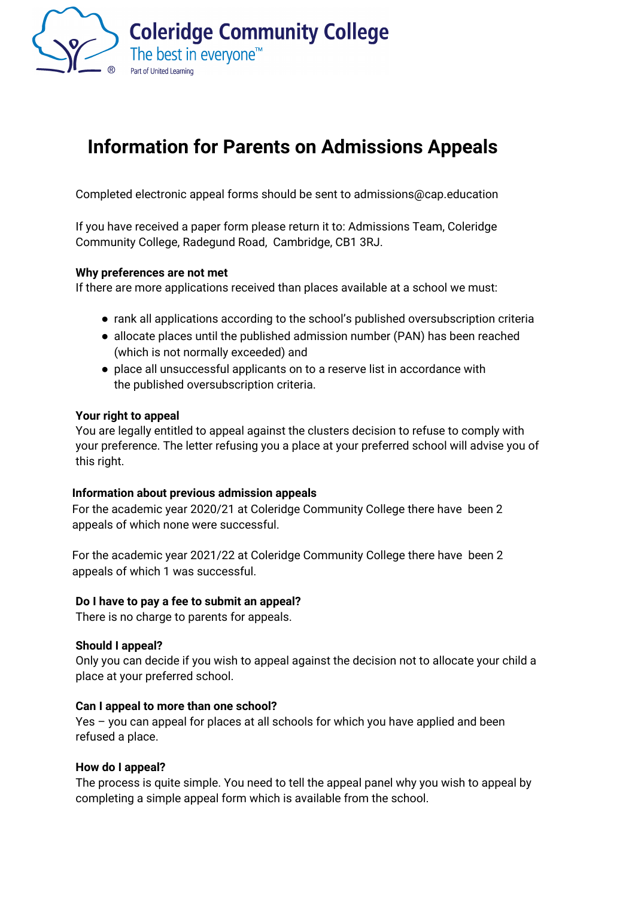

# **Information for Parents on Admissions Appeals**

Completed electronic appeal forms should be sent to [admissions@cap.education](mailto:admissions@cap.education) 

If you have received a paper form please return it to: Admissions Team, Coleridge Community College, Radegund Road, Cambridge, CB1 3RJ.

## **Why preferences are not met**

If there are more applications received than places available at a school we must:

- rank all applications according to the school's published oversubscription criteria
- allocate places until the published admission number (PAN) has been reached (which is not normally exceeded) and
- place all unsuccessful applicants on to a reserve list in accordance with the published oversubscription criteria.

#### **Your right to appeal**

You are legally entitled to appeal against the clusters decision to refuse to comply with your preference. The letter refusing you a place at your preferred school will advise you of this right.

## **Information about previous admission appeals**

For the academic year 2020/21 at Coleridge Community College there have been 2 appeals of which none were successful.

For the academic year 2021/22 at Coleridge Community College there have been 2 appeals of which 1 was successful.

## **Do I have to pay a fee to submit an appeal?**

There is no charge to parents for appeals.

#### **Should I appeal?**

Only you can decide if you wish to appeal against the decision not to allocate your child a place at your preferred school.

#### **Can I appeal to more than one school?**

Yes – you can appeal for places at all schools for which you have applied and been refused a place.

#### **How do I appeal?**

The process is quite simple. You need to tell the appeal panel why you wish to appeal by completing a simple appeal form which is available from the school.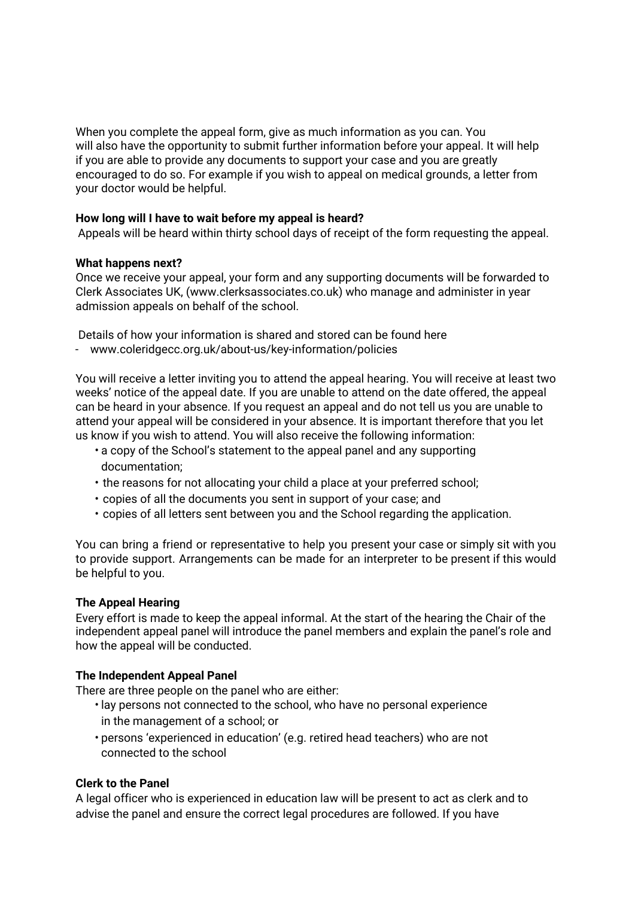When you complete the appeal form, give as much information as you can. You will also have the opportunity to submit further information before your appeal. It will help if you are able to provide any documents to support your case and you are greatly encouraged to do so. For example if you wish to appeal on medical grounds, a letter from your doctor would be helpful.

# **How long will I have to wait before my appeal is heard?**

Appeals will be heard within thirty school days of receipt of the form requesting the appeal.

## **What happens next?**

Once we receive your appeal, your form and any supporting documents will be forwarded to Clerk Associates UK, [\(www.clerksassociates.co.uk\) wh](http://www.clerksassociates.co.uk)o manage and administer in year admission appeals on behalf of the school.

Details of how your information is shared and stored can be found here

- www.coleridgecc.org.uk/about-us/key-information/policies

You will receive a letter inviting you to attend the appeal hearing. You will receive at least two weeks' notice of the appeal date. If you are unable to attend on the date offered, the appeal can be heard in your absence. If you request an appeal and do not tell us you are unable to attend your appeal will be considered in your absence. It is important therefore that you let us know if you wish to attend. You will also receive the following information:

- a copy of the School's statement to the appeal panel and any supporting documentation;
- the reasons for not allocating your child a place at your preferred school;
- copies of all the documents you sent in support of your case; and
- copies of all letters sent between you and the School regarding the application.

You can bring a friend or representative to help you present your case or simply sit with you to provide support. Arrangements can be made for an interpreter to be present if this would be helpful to you.

## **The Appeal Hearing**

Every effort is made to keep the appeal informal. At the start of the hearing the Chair of the independent appeal panel will introduce the panel members and explain the panel's role and how the appeal will be conducted.

## **The Independent Appeal Panel**

There are three people on the panel who are either:

- lay persons not connected to the school, who have no personal experience in the management of a school; or
- persons 'experienced in education' (e.g. retired head teachers) who are not connected to the school

## **Clerk to the Panel**

A legal officer who is experienced in education law will be present to act as clerk and to advise the panel and ensure the correct legal procedures are followed. If you have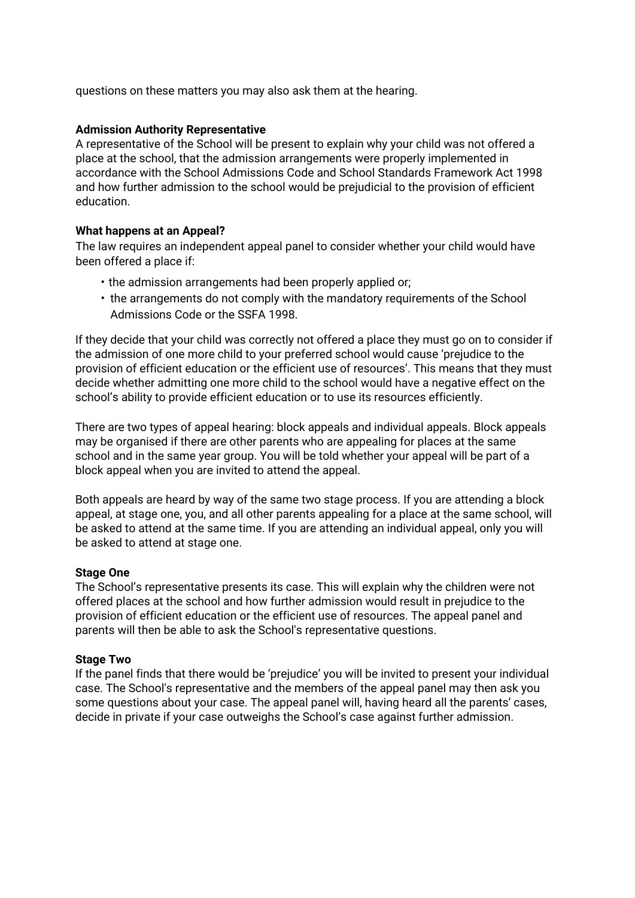questions on these matters you may also ask them at the hearing.

#### **Admission Authority Representative**

A representative of the School will be present to explain why your child was not offered a place at the school, that the admission arrangements were properly implemented in accordance with the School Admissions Code and School Standards Framework Act 1998 and how further admission to the school would be prejudicial to the provision of efficient education.

## **What happens at an Appeal?**

The law requires an independent appeal panel to consider whether your child would have been offered a place if:

- the admission arrangements had been properly applied or;
- the arrangements do not comply with the mandatory requirements of the School Admissions Code or the SSFA 1998.

If they decide that your child was correctly not offered a place they must go on to consider if the admission of one more child to your preferred school would cause 'prejudice to the provision of efficient education or the efficient use of resources'. This means that they must decide whether admitting one more child to the school would have a negative effect on the school's ability to provide efficient education or to use its resources efficiently.

There are two types of appeal hearing: block appeals and individual appeals. Block appeals may be organised if there are other parents who are appealing for places at the same school and in the same year group. You will be told whether your appeal will be part of a block appeal when you are invited to attend the appeal.

Both appeals are heard by way of the same two stage process. If you are attending a block appeal, at stage one, you, and all other parents appealing for a place at the same school, will be asked to attend at the same time. If you are attending an individual appeal, only you will be asked to attend at stage one.

#### **Stage One**

The School's representative presents its case. This will explain why the children were not offered places at the school and how further admission would result in prejudice to the provision of efficient education or the efficient use of resources. The appeal panel and parents will then be able to ask the School's representative questions.

#### **Stage Two**

If the panel finds that there would be 'prejudice' you will be invited to present your individual case. The School's representative and the members of the appeal panel may then ask you some questions about your case. The appeal panel will, having heard all the parents' cases, decide in private if your case outweighs the School's case against further admission.